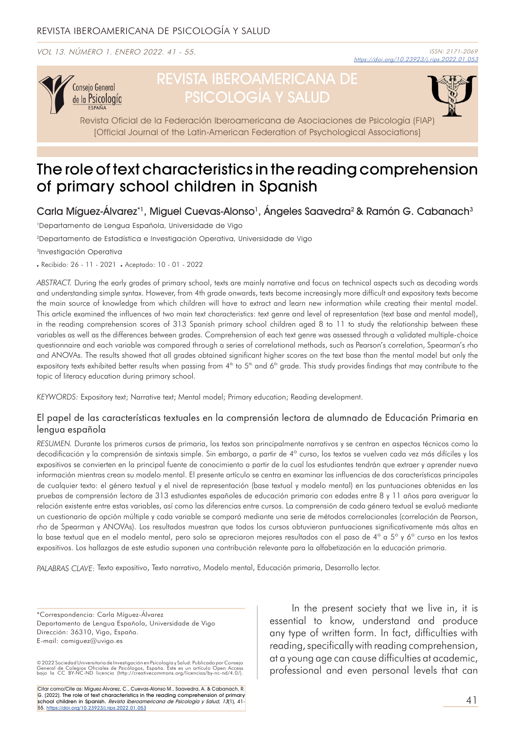VOL 13. NÚMERO 1. ENERO 2022. 41 - 55.



# REVISTA IBEROAMERICANA DE PSICOLOGÍA Y SALUD

Revista Oficial de la Federación Iberoamericana de Asociaciones de Psicología (FIAP) [Official Journal of the Latin-American Federation of Psychological Associations]

## The role of text characteristics in the reading comprehension of primary school children in Spanish

Carla Míguez-Álvarez\*1, Miguel Cuevas-Alonso<sup>1</sup>, Ángeles Saavedra<sup>2</sup> & Ramón G. Cabanach<sup>3</sup>

1Departamento de Lengua Española, Universidade de Vigo

2Departamento de Estadística e Investigación Operativa, Universidade de Vigo

3Investigación Operativa

. Recibido: 26 - 11 - 2021 . Aceptado: 10 - 01 - 2022

*ABSTRACT.* During the early grades of primary school, texts are mainly narrative and focus on technical aspects such as decoding words and understanding simple syntax. However, from 4th grade onwards, texts become increasingly more difficult and expository texts become the main source of knowledge from which children will have to extract and learn new information while creating their mental model. This article examined the influences of two main text characteristics: text genre and level of representation (text base and mental model), in the reading comprehension scores of 313 Spanish primary school children aged 8 to 11 to study the relationship between these variables as well as the differences between grades. Comprehension of each text genre was assessed through a validated multiple-choice questionnaire and each variable was compared through a series of correlational methods, such as Pearson's correlation, Spearman's rho and ANOVAs. The results showed that all grades obtained significant higher scores on the text base than the mental model but only the expository texts exhibited better results when passing from 4<sup>th</sup> to 5<sup>th</sup> and 6<sup>th</sup> grade. This study provides findings that may contribute to the topic of literacy education during primary school.

*KEYWORDS:* Expository text; Narrative text; Mental model; Primary education; Reading development.

#### El papel de las características textuales en la comprensión lectora de alumnado de Educación Primaria en lengua española

*RESUMEN.* Durante los primeros cursos de primaria, los textos son principalmente narrativos y se centran en aspectos técnicos como la decodificación y la comprensión de sintaxis simple. Sin embargo, a partir de 4° curso, los textos se vuelven cada vez más difíciles y los expositivos se convierten en la principal fuente de conocimiento a partir de la cual los estudiantes tendrán que extraer y aprender nueva información mientras crean su modelo mental. El presente artículo se centra en examinar las influencias de dos características principales de cualquier texto: el género textual y el nivel de representación (base textual y modelo mental) en las puntuaciones obtenidas en las pruebas de comprensión lectora de 313 estudiantes españoles de educación primaria con edades entre 8 y 11 años para averiguar la relación existente entre estas variables, así como las diferencias entre cursos. La comprensión de cada género textual se evaluó mediante un cuestionario de opción múltiple y cada variable se comparó mediante una serie de métodos correlacionales (correlación de Pearson, *rho* de Spearman y ANOVAs). Los resultados muestran que todos los cursos obtuvieron puntuaciones significativamente más altas en la base textual que en el modelo mental, pero solo se apreciaron mejores resultados con el paso de 4° a 5° y 6° curso en los textos expositivos. Los hallazgos de este estudio suponen una contribución relevante para la alfabetización en la educación primaria.

*PALABRAS CLAVE:* Texto expositivo, Texto narrativo, Modelo mental, Educación primaria, Desarrollo lector.

\*Correspondencia: Carla Míguez-Álvarez Departamento de Lengua Española, Universidade de Vigo Dirección: 36310, Vigo, España. E-mail: camiguez@uvigo.es

© 2022 Sociedad Universitaria de Investigación en Psicología y Salud. Publicado por Consejo<br>General de Colegios Oficiales de Psicólogos, España. Este es un artículo Open Access<br>bajo la CC BY-NC-ND licencia (htt

Citar como/Cite as: Míguez-Álvarez, C., Cuevas-Alonso M., Saavedra, A. & Cabanach, R. G. (2022). The role of text characteristics in the reading comprehension of primary school children in Spanish. *Revista Iberoamericana de Psicología y Salud, 13*(1), 41-<br>55. <u>[https://doi.org/10.23923/j.rips.2022.01.0](https://doi.org/10.23923/j.rips.2022.01.053)53</u>

In the present society that we live in, it is essential to know, understand and produce any type of written form. In fact, difficulties with reading, specifically with reading comprehension, at a young age can cause difficulties at academic, professional and even personal levels that can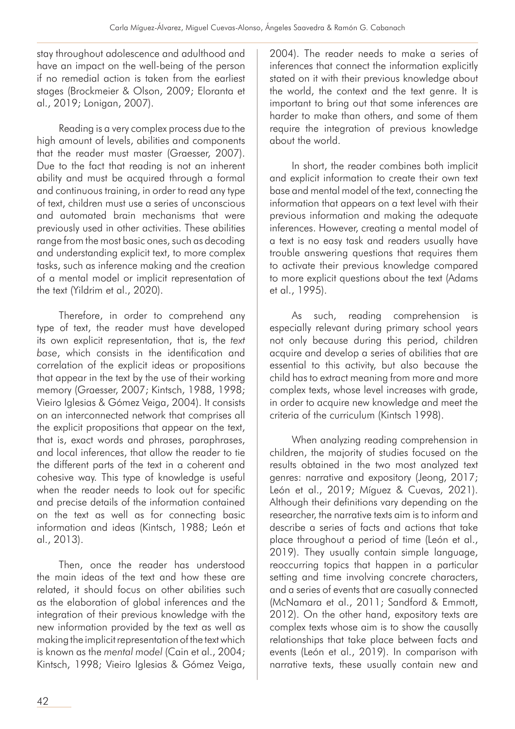stay throughout adolescence and adulthood and have an impact on the well-being of the person if no remedial action is taken from the earliest stages (Brockmeier & Olson, 2009; Eloranta et al., 2019; Lonigan, 2007).

Reading is a very complex process due to the high amount of levels, abilities and components that the reader must master (Graesser, 2007). Due to the fact that reading is not an inherent ability and must be acquired through a formal and continuous training, in order to read any type of text, children must use a series of unconscious and automated brain mechanisms that were previously used in other activities. These abilities range from the most basic ones, such as decoding and understanding explicit text, to more complex tasks, such as inference making and the creation of a mental model or implicit representation of the text (Yildrim et al., 2020).

Therefore, in order to comprehend any type of text, the reader must have developed its own explicit representation, that is, the *text base*, which consists in the identification and correlation of the explicit ideas or propositions that appear in the text by the use of their working memory (Graesser, 2007; Kintsch, 1988, 1998; Vieiro Iglesias & Gómez Veiga, 2004). It consists on an interconnected network that comprises all the explicit propositions that appear on the text, that is, exact words and phrases, paraphrases, and local inferences, that allow the reader to tie the different parts of the text in a coherent and cohesive way. This type of knowledge is useful when the reader needs to look out for specific and precise details of the information contained on the text as well as for connecting basic information and ideas (Kintsch, 1988; León et al., 2013).

Then, once the reader has understood the main ideas of the text and how these are related, it should focus on other abilities such as the elaboration of global inferences and the integration of their previous knowledge with the new information provided by the text as well as making the implicit representation of the text which is known as the *mental model* (Cain et al., 2004; Kintsch, 1998; Vieiro Iglesias & Gómez Veiga,

2004). The reader needs to make a series of inferences that connect the information explicitly stated on it with their previous knowledge about the world, the context and the text genre. It is important to bring out that some inferences are harder to make than others, and some of them require the integration of previous knowledge about the world.

In short, the reader combines both implicit and explicit information to create their own text base and mental model of the text, connecting the information that appears on a text level with their previous information and making the adequate inferences. However, creating a mental model of a text is no easy task and readers usually have trouble answering questions that requires them to activate their previous knowledge compared to more explicit questions about the text (Adams et al., 1995).

As such, reading comprehension is especially relevant during primary school years not only because during this period, children acquire and develop a series of abilities that are essential to this activity, but also because the child has to extract meaning from more and more complex texts, whose level increases with grade, in order to acquire new knowledge and meet the criteria of the curriculum (Kintsch 1998).

When analyzing reading comprehension in children, the majority of studies focused on the results obtained in the two most analyzed text genres: narrative and expository (Jeong, 2017; León et al., 2019; Míguez & Cuevas, 2021). Although their definitions vary depending on the researcher, the narrative texts aim is to inform and describe a series of facts and actions that take place throughout a period of time (León et al., 2019). They usually contain simple language, reoccurring topics that happen in a particular setting and time involving concrete characters, and a series of events that are casually connected (McNamara et al., 2011; Sandford & Emmott, 2012). On the other hand, expository texts are complex texts whose aim is to show the causally relationships that take place between facts and events (León et al., 2019). In comparison with narrative texts, these usually contain new and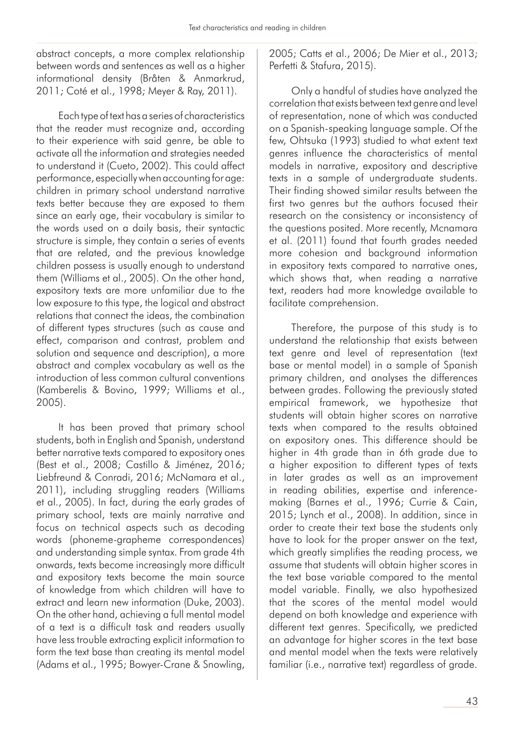abstract concepts, a more complex relationship between words and sentences as well as a higher informational density (Bråten & Anmarkrud, 2011; Coté et al., 1998; Meyer & Ray, 2011).

Each type of text has a series of characteristics that the reader must recognize and, according to their experience with said genre, be able to activate all the information and strategies needed to understand it (Cueto, 2002). This could affect performance, especially when accounting for age: children in primary school understand narrative texts better because they are exposed to them since an early age, their vocabulary is similar to the words used on a daily basis, their syntactic structure is simple, they contain a series of events that are related, and the previous knowledge children possess is usually enough to understand them (Williams et al., 2005). On the other hand, expository texts are more unfamiliar due to the low exposure to this type, the logical and abstract relations that connect the ideas, the combination of different types structures (such as cause and effect, comparison and contrast, problem and solution and sequence and description), a more abstract and complex vocabulary as well as the introduction of less common cultural conventions (Kamberelis & Bovino, 1999; Williams et al., 2005).

It has been proved that primary school students, both in English and Spanish, understand better narrative texts compared to expository ones (Best et al., 2008; Castillo & Jiménez, 2016; Liebfreund & Conradi, 2016; McNamara et al., 2011), including struggling readers (Williams et al., 2005). In fact, during the early grades of primary school, texts are mainly narrative and focus on technical aspects such as decoding words (phoneme-grapheme correspondences) and understanding simple syntax. From grade 4th onwards, texts become increasingly more difficult and expository texts become the main source of knowledge from which children will have to extract and learn new information (Duke, 2003). On the other hand, achieving a full mental model of a text is a difficult task and readers usually have less trouble extracting explicit information to form the text base than creating its mental model (Adams et al., 1995; Bowyer-Crane & Snowling, 2005; Catts et al., 2006; De Mier et al., 2013; Perfetti & Stafura, 2015).

Only a handful of studies have analyzed the correlation that exists between text genre and level of representation, none of which was conducted on a Spanish-speaking language sample. Of the few, Ohtsuka (1993) studied to what extent text genres influence the characteristics of mental models in narrative, expository and descriptive texts in a sample of undergraduate students. Their finding showed similar results between the first two genres but the authors focused their research on the consistency or inconsistency of the questions posited. More recently, Mcnamara et al. (2011) found that fourth grades needed more cohesion and background information in expository texts compared to narrative ones, which shows that, when reading a narrative text, readers had more knowledge available to facilitate comprehension.

Therefore, the purpose of this study is to understand the relationship that exists between text genre and level of representation (text base or mental model) in a sample of Spanish primary children, and analyses the differences between grades. Following the previously stated empirical framework, we hypothesize that students will obtain higher scores on narrative texts when compared to the results obtained on expository ones. This difference should be higher in 4th grade than in 6th grade due to a higher exposition to different types of texts in later grades as well as an improvement in reading abilities, expertise and inferencemaking (Barnes et al., 1996; Currie & Cain, 2015; Lynch et al., 2008). In addition, since in order to create their text base the students only have to look for the proper answer on the text, which greatly simplifies the reading process, we assume that students will obtain higher scores in the text base variable compared to the mental model variable. Finally, we also hypothesized that the scores of the mental model would depend on both knowledge and experience with different text genres. Specifically, we predicted an advantage for higher scores in the text base and mental model when the texts were relatively familiar (i.e., narrative text) regardless of grade.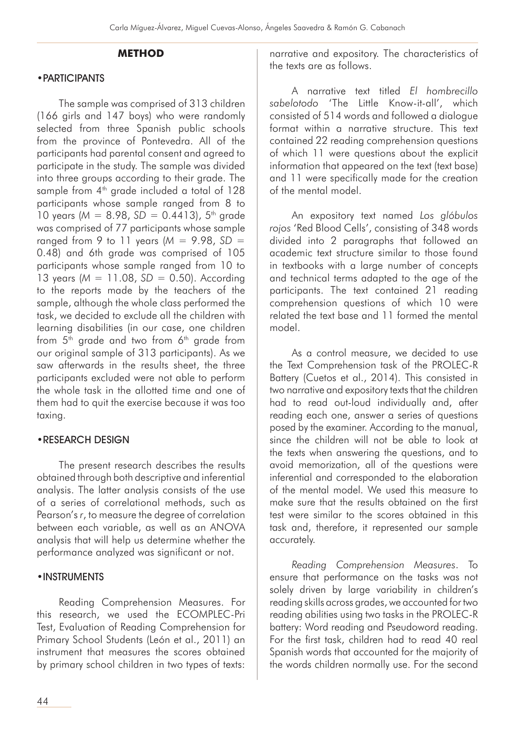## **METHOD**

#### •PARTICIPANTS

The sample was comprised of 313 children (166 girls and 147 boys) who were randomly selected from three Spanish public schools from the province of Pontevedra. All of the participants had parental consent and agreed to participate in the study. The sample was divided into three groups according to their grade. The sample from  $4<sup>th</sup>$  grade included a total of 128 participants whose sample ranged from 8 to 10 years ( $M = 8.98$ ,  $SD = 0.4413$ ), 5<sup>th</sup> grade was comprised of 77 participants whose sample ranged from 9 to 11 years (*M* = 9.98, *SD* = 0.48) and 6th grade was comprised of 105 participants whose sample ranged from 10 to 13 years (*M* = 11.08, *SD* = 0.50). According to the reports made by the teachers of the sample, although the whole class performed the task, we decided to exclude all the children with learning disabilities (in our case, one children from  $5<sup>th</sup>$  grade and two from  $6<sup>th</sup>$  grade from our original sample of 313 participants). As we saw afterwards in the results sheet, the three participants excluded were not able to perform the whole task in the allotted time and one of them had to quit the exercise because it was too taxing.

#### •RESEARCH DESIGN

The present research describes the results obtained through both descriptive and inferential analysis. The latter analysis consists of the use of a series of correlational methods, such as Pearson's *r*, to measure the degree of correlation between each variable, as well as an ANOVA analysis that will help us determine whether the performance analyzed was significant or not.

#### •INSTRUMENTS

Reading Comprehension Measures. For this research, we used the ECOMPLEC-Pri Test, Evaluation of Reading Comprehension for Primary School Students (León et al., 2011) an instrument that measures the scores obtained by primary school children in two types of texts:

narrative and expository. The characteristics of the texts are as follows.

A narrative text titled *El hombrecillo sabelotodo* 'The Little Know-it-all', which consisted of 514 words and followed a dialogue format within a narrative structure. This text contained 22 reading comprehension questions of which 11 were questions about the explicit information that appeared on the text (text base) and 11 were specifically made for the creation of the mental model.

An expository text named *Los glóbulos rojos* 'Red Blood Cells', consisting of 348 words divided into 2 paragraphs that followed an academic text structure similar to those found in textbooks with a large number of concepts and technical terms adapted to the age of the participants. The text contained 21 reading comprehension questions of which 10 were related the text base and 11 formed the mental model.

As a control measure, we decided to use the Text Comprehension task of the PROLEC-R Battery (Cuetos et al., 2014). This consisted in two narrative and expository texts that the children had to read out-loud individually and, after reading each one, answer a series of questions posed by the examiner. According to the manual, since the children will not be able to look at the texts when answering the questions, and to avoid memorization, all of the questions were inferential and corresponded to the elaboration of the mental model. We used this measure to make sure that the results obtained on the first test were similar to the scores obtained in this task and, therefore, it represented our sample accurately.

*Reading Comprehension Measures*. To ensure that performance on the tasks was not solely driven by large variability in children's reading skills across grades, we accounted for two reading abilities using two tasks in the PROLEC-R battery: Word reading and Pseudoword reading. For the first task, children had to read 40 real Spanish words that accounted for the majority of the words children normally use. For the second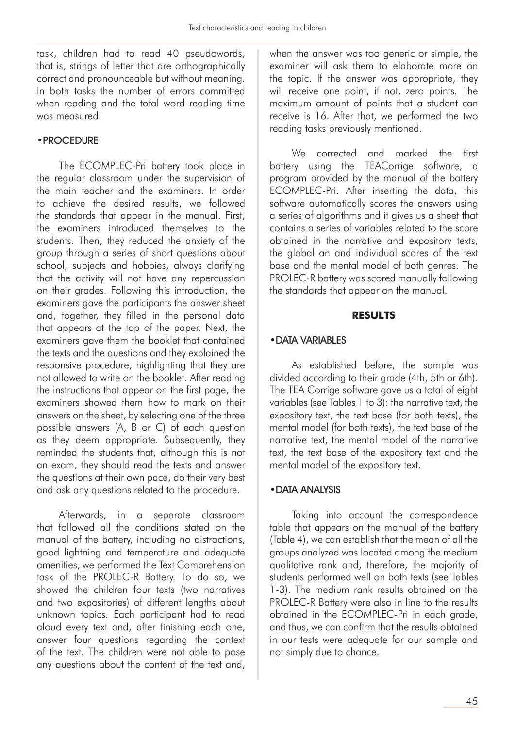task, children had to read 40 pseudowords, that is, strings of letter that are orthographically correct and pronounceable but without meaning. In both tasks the number of errors committed when reading and the total word reading time was measured.

#### •PROCEDURE

The ECOMPLEC-Pri battery took place in the regular classroom under the supervision of the main teacher and the examiners. In order to achieve the desired results, we followed the standards that appear in the manual. First, the examiners introduced themselves to the students. Then, they reduced the anxiety of the group through a series of short questions about school, subjects and hobbies, always clarifying that the activity will not have any repercussion on their grades. Following this introduction, the examiners gave the participants the answer sheet and, together, they filled in the personal data that appears at the top of the paper. Next, the examiners gave them the booklet that contained the texts and the questions and they explained the responsive procedure, highlighting that they are not allowed to write on the booklet. After reading the instructions that appear on the first page, the examiners showed them how to mark on their answers on the sheet, by selecting one of the three possible answers (A, B or C) of each question as they deem appropriate. Subsequently, they reminded the students that, although this is not an exam, they should read the texts and answer the questions at their own pace, do their very best and ask any questions related to the procedure.

Afterwards, in a separate classroom that followed all the conditions stated on the manual of the battery, including no distractions, good lightning and temperature and adequate amenities, we performed the Text Comprehension task of the PROLEC-R Battery. To do so, we showed the children four texts (two narratives and two expositories) of different lengths about unknown topics. Each participant had to read aloud every text and, after finishing each one, answer four questions regarding the context of the text. The children were not able to pose any questions about the content of the text and, when the answer was too generic or simple, the examiner will ask them to elaborate more on the topic. If the answer was appropriate, they will receive one point, if not, zero points. The maximum amount of points that a student can receive is 16. After that, we performed the two reading tasks previously mentioned.

We corrected and marked the first battery using the TEACorrige software, a program provided by the manual of the battery ECOMPLEC-Pri. After inserting the data, this software automatically scores the answers using a series of algorithms and it gives us a sheet that contains a series of variables related to the score obtained in the narrative and expository texts, the global an and individual scores of the text base and the mental model of both genres. The PROLEC-R battery was scored manually following the standards that appear on the manual.

## **RESULTS**

## •DATA VARIABLES

As established before, the sample was divided according to their grade (4th, 5th or 6th). The TEA Corrige software gave us a total of eight variables (see Tables 1 to 3): the narrative text, the expository text, the text base (for both texts), the mental model (for both texts), the text base of the narrative text, the mental model of the narrative text, the text base of the expository text and the mental model of the expository text.

## •DATA ANALYSIS

Taking into account the correspondence table that appears on the manual of the battery (Table 4), we can establish that the mean of all the groups analyzed was located among the medium qualitative rank and, therefore, the majority of students performed well on both texts (see Tables 1-3). The medium rank results obtained on the PROLEC-R Battery were also in line to the results obtained in the ECOMPLEC-Pri in each grade, and thus, we can confirm that the results obtained in our tests were adequate for our sample and not simply due to chance.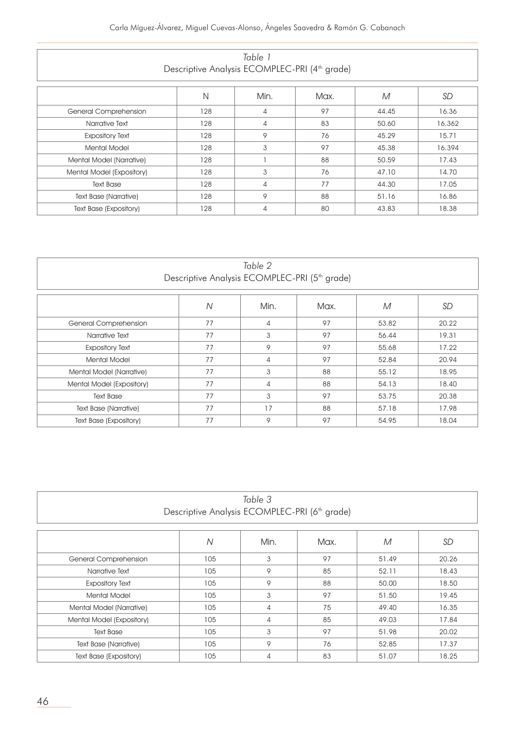|                                                           | Table 1 |  |
|-----------------------------------------------------------|---------|--|
| Descriptive Analysis ECOMPLEC-PRI (4 <sup>th</sup> grade) |         |  |

|                               | N   | Min.           | Max. | M     | SD     |
|-------------------------------|-----|----------------|------|-------|--------|
| <b>General Comprehension</b>  | 128 | $\overline{4}$ | 97   | 44.45 | 16.36  |
| Narrative Text                | 128 | $\overline{4}$ | 83   |       | 16.362 |
| <b>Expository Text</b>        | 128 | 9              | 76   | 45.29 | 15.71  |
| <b>Mental Model</b>           | 128 | 3              | 97   | 45,38 | 16.394 |
| Mental Model (Narrative)      | 128 |                | 88   | 50.59 | 17.43  |
| Mental Model (Expository)     | 128 | 3              | 76   | 47.10 | 14.70  |
| <b>Text Base</b>              | 128 | $\overline{4}$ | 77   | 44.30 | 17.05  |
| <b>Text Base (Narrative)</b>  | 128 | 9              | 88   | 51.16 | 16.86  |
| <b>Text Base (Expository)</b> | 128 | 4              | 80   | 43.83 | 18.38  |

| Table 2<br>Descriptive Analysis ECOMPLEC-PRI (5 <sup>th</sup> grade)                                |                                 |   |    |       |       |  |                                                     |  |  |
|-----------------------------------------------------------------------------------------------------|---------------------------------|---|----|-------|-------|--|-----------------------------------------------------|--|--|
| $\overline{N}$<br>Min.<br><b>SD</b><br>Max.<br>M                                                    |                                 |   |    |       |       |  |                                                     |  |  |
| General Comprehension                                                                               | 77                              | 4 | 97 | 53.82 | 20.22 |  |                                                     |  |  |
| Narrative Text                                                                                      | 77                              | 3 | 97 | 56.44 | 19.31 |  |                                                     |  |  |
| <b>Expository Text</b>                                                                              | 77<br>9<br>97<br>55.68<br>17.22 |   |    |       |       |  |                                                     |  |  |
| 77<br>97<br>52.84<br><b>Mental Model</b><br>4<br>3<br>77<br>88<br>55.12<br>Mental Model (Narrative) |                                 |   |    |       |       |  |                                                     |  |  |
|                                                                                                     |                                 |   |    |       |       |  | 77<br>88<br>54.13<br>Mental Model (Expository)<br>4 |  |  |
| 77<br>3<br>97<br><b>Text Base</b><br>53.75<br>20,38                                                 |                                 |   |    |       |       |  |                                                     |  |  |
| 77<br>17<br>88<br>57.18<br>17.98<br><b>Text Base (Narrative)</b>                                    |                                 |   |    |       |       |  |                                                     |  |  |
| <b>Text Base (Expository)</b>                                                                       | 77                              | 9 | 97 | 54.95 | 18.04 |  |                                                     |  |  |

| Table 3                                                          |                                     |       |       |       |       |  |  |  |  |
|------------------------------------------------------------------|-------------------------------------|-------|-------|-------|-------|--|--|--|--|
| Descriptive Analysis ECOMPLEC-PRI (6 <sup>th</sup> grade)        |                                     |       |       |       |       |  |  |  |  |
|                                                                  |                                     |       |       |       |       |  |  |  |  |
|                                                                  | <b>SD</b><br>Ν<br>Min.<br>Max.<br>M |       |       |       |       |  |  |  |  |
| General Comprehension                                            | 105                                 | 3     | 97    | 51.49 | 20.26 |  |  |  |  |
| Narrative Text                                                   | 105                                 | 9     | 85    | 52.11 | 18.43 |  |  |  |  |
| <b>Expository Text</b>                                           | 88                                  | 50,00 | 18.50 |       |       |  |  |  |  |
| <b>Mental Model</b>                                              | 105                                 | 3     | 97    | 51.50 | 19.45 |  |  |  |  |
| 105<br>75<br>49.40<br>Mental Model (Narrative)<br>4              |                                     |       |       |       |       |  |  |  |  |
| 85<br>Mental Model (Expository)<br>105<br>49.03<br>17.84<br>4    |                                     |       |       |       |       |  |  |  |  |
| 3<br>105<br>97<br><b>Text Base</b><br>51.98<br>20.02             |                                     |       |       |       |       |  |  |  |  |
| 9<br>105<br>76<br>52.85<br>17.37<br><b>Text Base (Narrative)</b> |                                     |       |       |       |       |  |  |  |  |
| <b>Text Base (Expository)</b>                                    | 105                                 | 4     | 83    | 51.07 | 18.25 |  |  |  |  |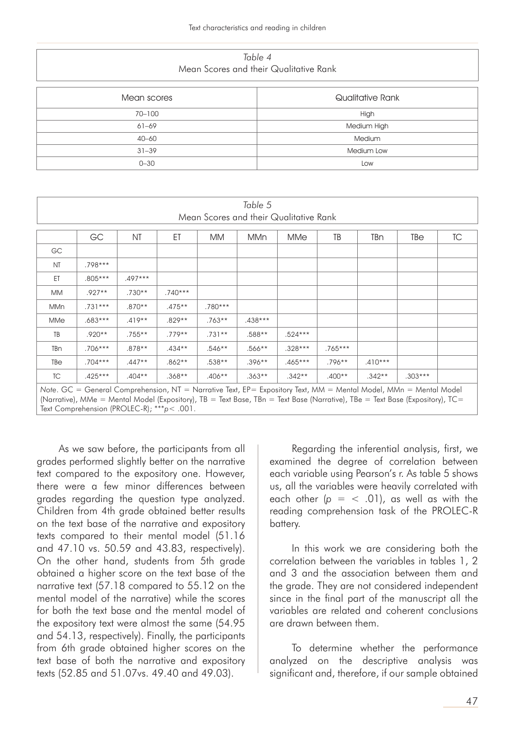*Table 4* Mean Scores and their Qualitative Rank

| Mean scores | Qualitative Rank |
|-------------|------------------|
| 70-100      | High             |
| $61 - 69$   | Medium High      |
| $40 - 60$   | Medium           |
| $31 - 39$   | Medium Low       |
| $0 - 30$    | Low              |

| Table 5                                                                                                           |                                                                     |          |           |           |           |           |           |           |           |  |
|-------------------------------------------------------------------------------------------------------------------|---------------------------------------------------------------------|----------|-----------|-----------|-----------|-----------|-----------|-----------|-----------|--|
| Mean Scores and their Qualitative Rank                                                                            |                                                                     |          |           |           |           |           |           |           |           |  |
|                                                                                                                   | GC<br>TB<br>TC<br>NT<br>ΕT<br>TBn<br>MM<br><b>MMn</b><br>MMe<br>TBe |          |           |           |           |           |           |           |           |  |
| GC                                                                                                                |                                                                     |          |           |           |           |           |           |           |           |  |
| <b>NT</b>                                                                                                         | $.798***$                                                           |          |           |           |           |           |           |           |           |  |
| ET                                                                                                                | $.805***$                                                           | .497***  |           |           |           |           |           |           |           |  |
| <b>MM</b>                                                                                                         | $.927**$                                                            | $.730**$ | $.740***$ |           |           |           |           |           |           |  |
| MMn                                                                                                               | $.731***$                                                           | $.870**$ | $.475***$ | $.780***$ |           |           |           |           |           |  |
| MMe                                                                                                               | $.683***$                                                           | $.419**$ | $.829**$  | $.763**$  | $.438***$ |           |           |           |           |  |
| TB                                                                                                                | $.920**$                                                            | $.755**$ | $.779**$  | $.731**$  | $.588**$  | $.524***$ |           |           |           |  |
| TBn                                                                                                               | .706***                                                             | $.878**$ | $.434**$  | $.546**$  | $.566***$ | $.328***$ | $.765***$ |           |           |  |
| TBe                                                                                                               | $.704***$                                                           | $.447**$ | $.862**$  | $.538**$  | $.396***$ | $.465***$ | $.796**$  | $.410***$ |           |  |
| TC                                                                                                                | .425***                                                             | $.404**$ | $.368**$  | $.406**$  | $.363**$  | $.342**$  | $.400**$  | $.342**$  | $.303***$ |  |
| Note. GC = General Comprehension, NT = Narrative Text, EP= Expository Text, MM = Mental Model, MMn = Mental Model |                                                                     |          |           |           |           |           |           |           |           |  |

(Narrative), MMe = Mental Model (Expository), TB = Text Base, TBn = Text Base (Narrative), TBe = Text Base (Expository), TC= Text Comprehension (PROLEC-R); \*\*\**p*< .001.

As we saw before, the participants from all grades performed slightly better on the narrative text compared to the expository one. However, there were a few minor differences between grades regarding the question type analyzed. Children from 4th grade obtained better results on the text base of the narrative and expository texts compared to their mental model (51.16 and 47.10 vs. 50.59 and 43.83, respectively). On the other hand, students from 5th grade obtained a higher score on the text base of the narrative text (57.18 compared to 55.12 on the mental model of the narrative) while the scores for both the text base and the mental model of the expository text were almost the same (54.95 and 54.13, respectively). Finally, the participants from 6th grade obtained higher scores on the text base of both the narrative and expository texts (52.85 and 51.07vs. 49.40 and 49.03).

Regarding the inferential analysis, first, we examined the degree of correlation between each variable using Pearson's r. As table 5 shows us, all the variables were heavily correlated with each other  $(p = < .01)$ , as well as with the reading comprehension task of the PROLEC-R battery.

In this work we are considering both the correlation between the variables in tables 1, 2 and 3 and the association between them and the grade. They are not considered independent since in the final part of the manuscript all the variables are related and coherent conclusions are drawn between them.

To determine whether the performance analyzed on the descriptive analysis was significant and, therefore, if our sample obtained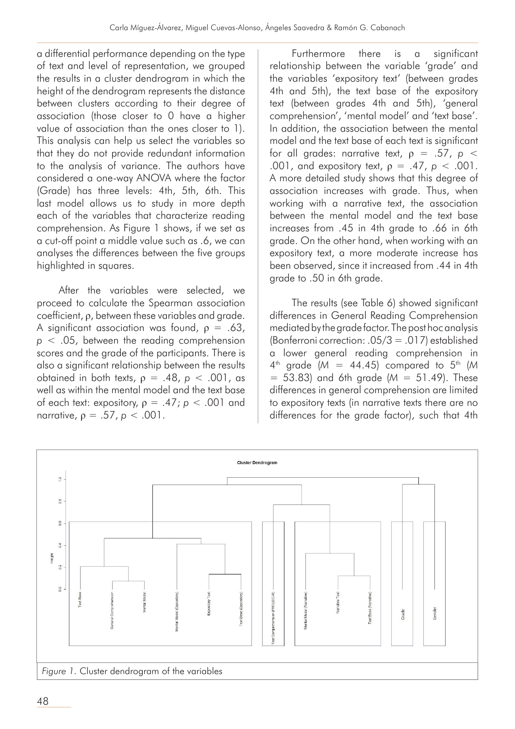a differential performance depending on the type of text and level of representation, we grouped the results in a cluster dendrogram in which the height of the dendrogram represents the distance between clusters according to their degree of association (those closer to 0 have a higher value of association than the ones closer to 1). This analysis can help us select the variables so that they do not provide redundant information to the analysis of variance. The authors have considered a one-way ANOVA where the factor (Grade) has three levels: 4th, 5th, 6th. This last model allows us to study in more depth each of the variables that characterize reading comprehension. As Figure 1 shows, if we set as a cut-off point a middle value such as .6, we can analyses the differences between the five groups highlighted in squares.

After the variables were selected, we proceed to calculate the Spearman association coefficient, ρ, between these variables and grade. A significant association was found,  $\rho = .63$ , *p* < .05, between the reading comprehension scores and the grade of the participants. There is also a significant relationship between the results obtained in both texts, ρ = .48, *p* < .001, as well as within the mental model and the text base of each text: expository,  $\rho = .47$ ;  $p < .001$  and narrative, ρ = .57, *p* < .001.

Furthermore there is a significant relationship between the variable 'grade' and the variables 'expository text' (between grades 4th and 5th), the text base of the expository text (between grades 4th and 5th), 'general comprehension', 'mental model' and 'text base'. In addition, the association between the mental model and the text base of each text is significant for all grades: narrative text,  $\rho = .57$ ,  $\rho <$ .001, and expository text, ρ = .47, *p* < .001. A more detailed study shows that this degree of association increases with grade. Thus, when working with a narrative text, the association between the mental model and the text base increases from .45 in 4th grade to .66 in 6th grade. On the other hand, when working with an expository text, a more moderate increase has been observed, since it increased from .44 in 4th grade to .50 in 6th grade.

The results (see Table 6) showed significant differences in General Reading Comprehension mediated by the grade factor. The post hoc analysis (Bonferroni correction: .05/3 = .017) established a lower general reading comprehension in  $4^{th}$  grade (*M* = 44.45) compared to  $5^{th}$  (*M* = 53.83) and 6th grade (*M* = 51.49). These differences in general comprehension are limited to expository texts (in narrative texts there are no differences for the grade factor), such that 4th

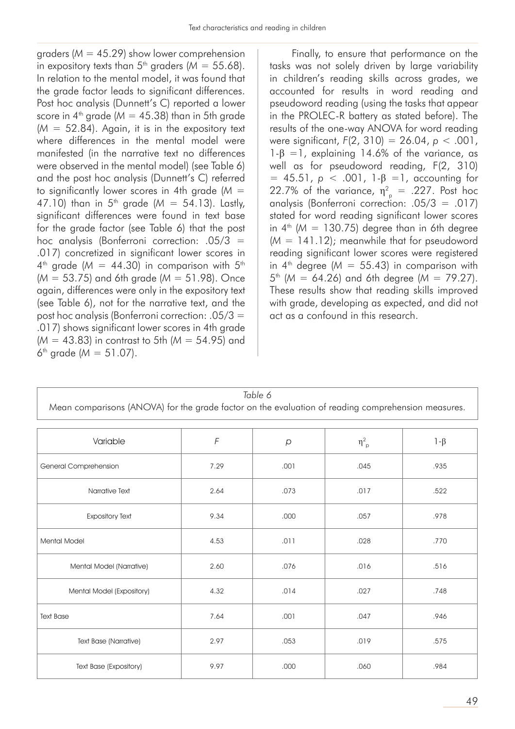graders (*M* = 45.29) show lower comprehension in expository texts than  $5<sup>th</sup>$  graders ( $M = 55.68$ ). In relation to the mental model, it was found that the grade factor leads to significant differences. Post hoc analysis (Dunnett's C) reported a lower score in  $4^{\text{th}}$  grade ( $M = 45.38$ ) than in 5th grade  $(M = 52.84)$ . Again, it is in the expository text where differences in the mental model were manifested (in the narrative text no differences were observed in the mental model) (see Table 6) and the post hoc analysis (Dunnett's C) referred to significantly lower scores in 4th grade (*M* = 47.10) than in  $5^{th}$  grade ( $M = 54.13$ ). Lastly, significant differences were found in text base for the grade factor (see Table 6) that the post hoc analysis (Bonferroni correction: .05/3 = .017) concretized in significant lower scores in  $4<sup>th</sup>$  grade ( $M = 44.30$ ) in comparison with  $5<sup>th</sup>$ (*M* = 53.75) and 6th grade (*M* = 51.98). Once again, differences were only in the expository text (see Table 6), not for the narrative text, and the post hoc analysis (Bonferroni correction: .05/3 = .017) shows significant lower scores in 4th grade (*M* = 43.83) in contrast to 5th (*M* = 54.95) and 6<sup>th</sup> grade ( $M = 51.07$ ).

Finally, to ensure that performance on the tasks was not solely driven by large variability in children's reading skills across grades, we accounted for results in word reading and pseudoword reading (using the tasks that appear in the PROLEC-R battery as stated before). The results of the one-way ANOVA for word reading were significant, *F*(2, 310) = 26.04, *p* < .001,  $1-\beta = 1$ , explaining 14.6% of the variance, as well as for pseudoword reading, F(2, 310)  $= 45.51$ , *p* < .001, 1-β =1, accounting for 22.7% of the variance,  $\eta_{\rho}^2$  = .227. Post hoc analysis (Bonferroni correction: .05/3 = .017) stated for word reading significant lower scores in  $4^{\text{th}}$  (*M* = 130.75) degree than in 6th degree (*M* = 141.12); meanwhile that for pseudoword reading significant lower scores were registered in  $4^{\text{th}}$  degree ( $M = 55.43$ ) in comparison with 5th (*M* = 64.26) and 6th degree (*M* = 79.27). These results show that reading skills improved with grade, developing as expected, and did not act as a confound in this research.

| Table 6<br>Mean comparisons (ANOVA) for the grade factor on the evaluation of reading comprehension measures. |            |         |                |           |  |  |  |  |
|---------------------------------------------------------------------------------------------------------------|------------|---------|----------------|-----------|--|--|--|--|
| Variable                                                                                                      | $\digamma$ | $\beta$ | $\eta_{\;p}^2$ | $1-\beta$ |  |  |  |  |
| General Comprehension                                                                                         | 7.29       | .001    | .045           | .935      |  |  |  |  |
| Narrative Text                                                                                                | 2.64       | .073    | .017           | .522      |  |  |  |  |
| <b>Expository Text</b>                                                                                        | 9.34       | .000    | .057           | .978      |  |  |  |  |
| <b>Mental Model</b>                                                                                           | 4.53       | .011    | .028           | .770      |  |  |  |  |
| Mental Model (Narrative)                                                                                      | 2.60       | .076    | .016           | .516      |  |  |  |  |
| Mental Model (Expository)                                                                                     | 4.32       | .014    | .027           | .748      |  |  |  |  |
| <b>Text Base</b>                                                                                              | 7.64       | .001    | .047           | .946      |  |  |  |  |
| <b>Text Base (Narrative)</b>                                                                                  | 2.97       | .053    | .019           | .575      |  |  |  |  |
| Text Base (Expository)                                                                                        | 9.97       | .000    | .060           | .984      |  |  |  |  |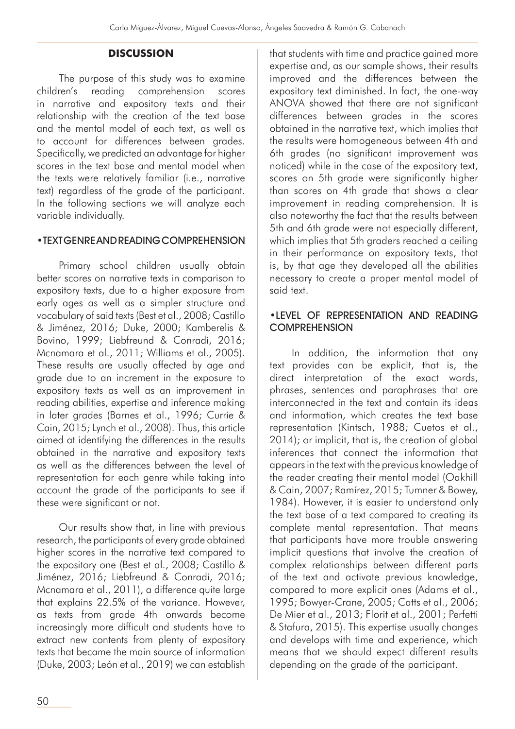## **DISCUSSION**

The purpose of this study was to examine children's reading comprehension scores in narrative and expository texts and their relationship with the creation of the text base and the mental model of each text, as well as to account for differences between grades. Specifically, we predicted an advantage for higher scores in the text base and mental model when the texts were relatively familiar (i.e., narrative text) regardless of the grade of the participant. In the following sections we will analyze each variable individually.

#### •TEXT GENRE AND READING COMPREHENSION

Primary school children usually obtain better scores on narrative texts in comparison to expository texts, due to a higher exposure from early ages as well as a simpler structure and vocabulary of said texts (Best et al., 2008; Castillo & Jiménez, 2016; Duke, 2000; Kamberelis & Bovino, 1999; Liebfreund & Conradi, 2016; Mcnamara et al., 2011; Williams et al., 2005). These results are usually affected by age and grade due to an increment in the exposure to expository texts as well as an improvement in reading abilities, expertise and inference making in later grades (Barnes et al., 1996; Currie & Cain, 2015; Lynch et al., 2008). Thus, this article aimed at identifying the differences in the results obtained in the narrative and expository texts as well as the differences between the level of representation for each genre while taking into account the grade of the participants to see if these were significant or not.

Our results show that, in line with previous research, the participants of every grade obtained higher scores in the narrative text compared to the expository one (Best et al., 2008; Castillo & Jiménez, 2016; Liebfreund & Conradi, 2016; Mcnamara et al., 2011), a difference quite large that explains 22.5% of the variance. However, as texts from grade 4th onwards become increasingly more difficult and students have to extract new contents from plenty of expository texts that became the main source of information (Duke, 2003; León et al., 2019) we can establish that students with time and practice gained more expertise and, as our sample shows, their results improved and the differences between the expository text diminished. In fact, the one-way ANOVA showed that there are not significant differences between grades in the scores obtained in the narrative text, which implies that the results were homogeneous between 4th and 6th grades (no significant improvement was noticed) while in the case of the expository text, scores on 5th grade were significantly higher than scores on 4th grade that shows a clear improvement in reading comprehension. It is also noteworthy the fact that the results between 5th and 6th grade were not especially different, which implies that 5th graders reached a ceiling in their performance on expository texts, that is, by that age they developed all the abilities necessary to create a proper mental model of said text.

## •LEVEL OF REPRESENTATION AND READING **COMPREHENSION**

In addition, the information that any text provides can be explicit, that is, the direct interpretation of the exact words, phrases, sentences and paraphrases that are interconnected in the text and contain its ideas and information, which creates the text base representation (Kintsch, 1988; Cuetos et al., 2014); or implicit, that is, the creation of global inferences that connect the information that appears in the text with the previous knowledge of the reader creating their mental model (Oakhill & Cain, 2007; Ramírez, 2015; Tumner & Bowey, 1984). However, it is easier to understand only the text base of a text compared to creating its complete mental representation. That means that participants have more trouble answering implicit questions that involve the creation of complex relationships between different parts of the text and activate previous knowledge, compared to more explicit ones (Adams et al., 1995; Bowyer-Crane, 2005; Catts et al., 2006; De Mier et al., 2013; Florit et al., 2001; Perfetti & Stafura, 2015). This expertise usually changes and develops with time and experience, which means that we should expect different results depending on the grade of the participant.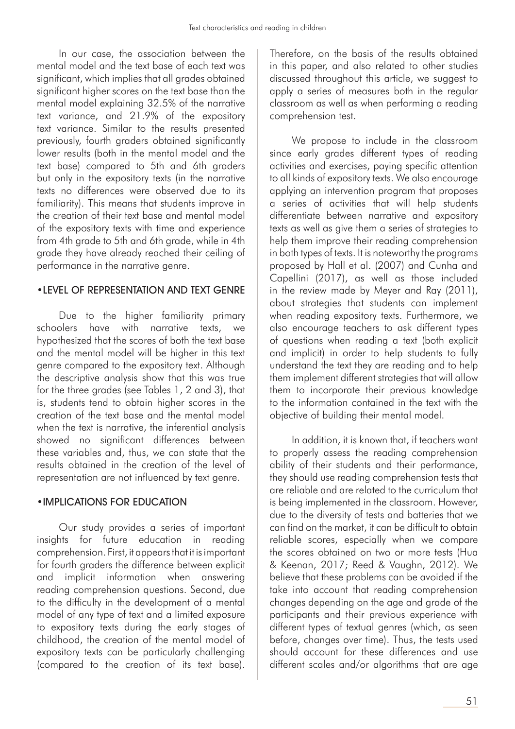In our case, the association between the mental model and the text base of each text was significant, which implies that all grades obtained significant higher scores on the text base than the mental model explaining 32.5% of the narrative text variance, and 21.9% of the expository text variance. Similar to the results presented previously, fourth graders obtained significantly lower results (both in the mental model and the text base) compared to 5th and 6th graders but only in the expository texts (in the narrative texts no differences were observed due to its familiarity). This means that students improve in the creation of their text base and mental model of the expository texts with time and experience from 4th grade to 5th and 6th grade, while in 4th grade they have already reached their ceiling of performance in the narrative genre.

## •LEVEL OF REPRESENTATION AND TEXT GENRE

Due to the higher familiarity primary schoolers have with narrative texts, we hypothesized that the scores of both the text base and the mental model will be higher in this text genre compared to the expository text. Although the descriptive analysis show that this was true for the three grades (see Tables 1, 2 and 3), that is, students tend to obtain higher scores in the creation of the text base and the mental model when the text is narrative, the inferential analysis showed no significant differences between these variables and, thus, we can state that the results obtained in the creation of the level of representation are not influenced by text genre.

## •IMPLICATIONS FOR EDUCATION

Our study provides a series of important insights for future education in reading comprehension. First, it appears that it is important for fourth graders the difference between explicit and implicit information when answering reading comprehension questions. Second, due to the difficulty in the development of a mental model of any type of text and a limited exposure to expository texts during the early stages of childhood, the creation of the mental model of expository texts can be particularly challenging (compared to the creation of its text base). Therefore, on the basis of the results obtained in this paper, and also related to other studies discussed throughout this article, we suggest to apply a series of measures both in the regular classroom as well as when performing a reading comprehension test.

We propose to include in the classroom since early grades different types of reading activities and exercises, paying specific attention to all kinds of expository texts. We also encourage applying an intervention program that proposes a series of activities that will help students differentiate between narrative and expository texts as well as give them a series of strategies to help them improve their reading comprehension in both types of texts. It is noteworthy the programs proposed by Hall et al. (2007) and Cunha and Capellini (2017), as well as those included in the review made by Meyer and Ray (2011), about strategies that students can implement when reading expository texts. Furthermore, we also encourage teachers to ask different types of questions when reading a text (both explicit and implicit) in order to help students to fully understand the text they are reading and to help them implement different strategies that will allow them to incorporate their previous knowledge to the information contained in the text with the objective of building their mental model.

In addition, it is known that, if teachers want to properly assess the reading comprehension ability of their students and their performance, they should use reading comprehension tests that are reliable and are related to the curriculum that is being implemented in the classroom. However, due to the diversity of tests and batteries that we can find on the market, it can be difficult to obtain reliable scores, especially when we compare the scores obtained on two or more tests (Hua & Keenan, 2017; Reed & Vaughn, 2012). We believe that these problems can be avoided if the take into account that reading comprehension changes depending on the age and grade of the participants and their previous experience with different types of textual genres (which, as seen before, changes over time). Thus, the tests used should account for these differences and use different scales and/or algorithms that are age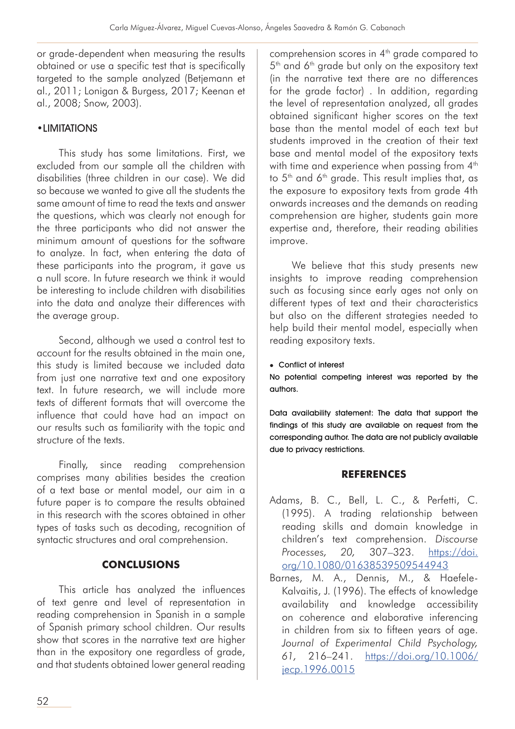or grade-dependent when measuring the results obtained or use a specific test that is specifically targeted to the sample analyzed (Betjemann et al., 2011; Lonigan & Burgess, 2017; Keenan et al., 2008; Snow, 2003).

## •LIMITATIONS

This study has some limitations. First, we excluded from our sample all the children with disabilities (three children in our case). We did so because we wanted to give all the students the same amount of time to read the texts and answer the questions, which was clearly not enough for the three participants who did not answer the minimum amount of questions for the software to analyze. In fact, when entering the data of these participants into the program, it gave us a null score. In future research we think it would be interesting to include children with disabilities into the data and analyze their differences with the average group.

Second, although we used a control test to account for the results obtained in the main one, this study is limited because we included data from just one narrative text and one expository text. In future research, we will include more texts of different formats that will overcome the influence that could have had an impact on our results such as familiarity with the topic and structure of the texts.

Finally, since reading comprehension comprises many abilities besides the creation of a text base or mental model, our aim in a future paper is to compare the results obtained in this research with the scores obtained in other types of tasks such as decoding, recognition of syntactic structures and oral comprehension.

## **CONCLUSIONS**

This article has analyzed the influences of text genre and level of representation in reading comprehension in Spanish in a sample of Spanish primary school children. Our results show that scores in the narrative text are higher than in the expository one regardless of grade, and that students obtained lower general reading comprehension scores in 4<sup>th</sup> grade compared to 5<sup>th</sup> and 6<sup>th</sup> grade but only on the expository text (in the narrative text there are no differences for the grade factor) . In addition, regarding the level of representation analyzed, all grades obtained significant higher scores on the text base than the mental model of each text but students improved in the creation of their text base and mental model of the expository texts with time and experience when passing from 4<sup>th</sup> to 5<sup>th</sup> and 6<sup>th</sup> grade. This result implies that, as the exposure to expository texts from grade 4th onwards increases and the demands on reading comprehension are higher, students gain more expertise and, therefore, their reading abilities improve.

We believe that this study presents new insights to improve reading comprehension such as focusing since early ages not only on different types of text and their characteristics but also on the different strategies needed to help build their mental model, especially when reading expository texts.

#### • Conflict of interest

No potential competing interest was reported by the authors.

Data availability statement: The data that support the findings of this study are available on request from the corresponding author. The data are not publicly available due to privacy restrictions.

## **REFERENCES**

- Adams, B. C., Bell, L. C., & Perfetti, C. (1995). A trading relationship between reading skills and domain knowledge in children's text comprehension. *Discourse Processes, 20,* 307–323. [https://doi.](https://doi.org/10.1080/01638539509544943) [org/10.1080/01638539509544943](https://doi.org/10.1080/01638539509544943)
- Barnes, M. A., Dennis, M., & Haefele-Kalvaitis, J. (1996). The effects of knowledge availability and knowledge accessibility on coherence and elaborative inferencing in children from six to fifteen years of age. *Journal of Experimental Child Psychology, 61,* 216–241. [https://doi.org/10.1006/](https://doi.org/10.1006/jecp.1996.0015) [jecp.1996.0015](https://doi.org/10.1006/jecp.1996.0015)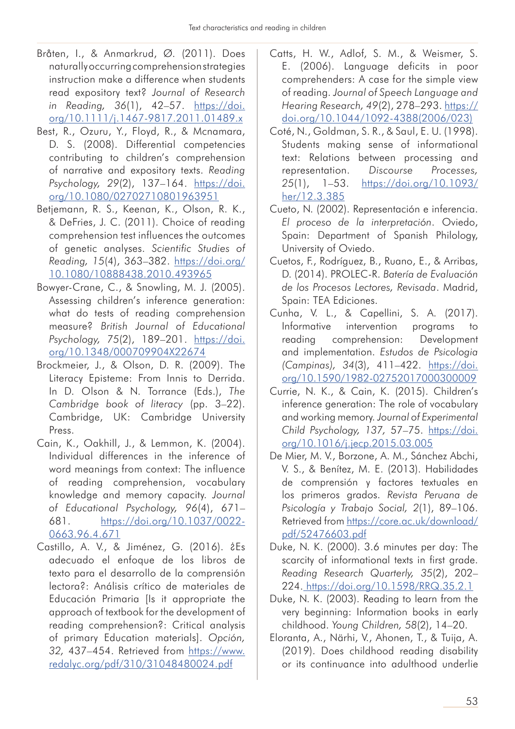- Bråten, I., & Anmarkrud, Ø. (2011). Does naturally occurring comprehension strategies instruction make a difference when students read expository text? *Journal of Research in Reading, 36*(1), 42–57. [https://doi.](https://doi.org/10.1111/j.1467-9817.2011.01489.x) [org/10.1111/j.1467-9817.2011.01489.x](https://doi.org/10.1111/j.1467-9817.2011.01489.x)
- Best, R., Ozuru, Y., Floyd, R., & Mcnamara, D. S. (2008). Differential competencies contributing to children's comprehension of narrative and expository texts. *Reading Psychology, 29*(2), 137–164. [https://doi.](https://doi.org/10.1080/02702710801963951) [org/10.1080/02702710801963951](https://doi.org/10.1080/02702710801963951)
- Betjemann, R. S., Keenan, K., Olson, R. K., & DeFries, J. C. (2011). Choice of reading comprehension test influences the outcomes of genetic analyses. *Scientific Studies of Reading, 15*(4), 363–382. [https://doi.org/](https://doi.org/10.1080/10888438.2010.493965) [10.1080/10888438.2010.493965](https://doi.org/10.1080/10888438.2010.493965)
- Bowyer-Crane, C., & Snowling, M. J. (2005). Assessing children's inference generation: what do tests of reading comprehension measure? *British Journal of Educational Psychology, 75*(2), 189–201. [https://doi.](https://doi.org/10.1348/000709904X22674) [org/10.1348/000709904X22674](https://doi.org/10.1348/000709904X22674)
- Brockmeier, J., & Olson, D. R. (2009). The Literacy Episteme: From Innis to Derrida. In D. Olson & N. Torrance (Eds.), *The Cambridge book of literacy* (pp. 3–22). Cambridge, UK: Cambridge University Press.
- Cain, K., Oakhill, J., & Lemmon, K. (2004). Individual differences in the inference of word meanings from context: The influence of reading comprehension, vocabulary knowledge and memory capacity. *Journal of Educational Psychology, 96*(4), 671– 681. [https://doi.org/10.1037/0022-](https://doi.org/10.1037/0022-0663.96.4.671) [0663.96.4.671](https://doi.org/10.1037/0022-0663.96.4.671)
- Castillo, A. V., & Jiménez, G. (2016). ¿Es adecuado el enfoque de los libros de texto para el desarrollo de la comprensión lectora?: Análisis crítico de materiales de Educación Primaria [Is it appropriate the approach of textbook for the development of reading comprehension?: Critical analysis of primary Education materials]. *Opción, 32,* 437–454. Retrieved from [https://www.](https://www.redalyc.org/pdf/310/31048480024.pdf) [redalyc.org/pdf/310/31048480024.pdf](https://www.redalyc.org/pdf/310/31048480024.pdf)
- Catts, H. W., Adlof, S. M., & Weismer, S. E. (2006). Language deficits in poor comprehenders: A case for the simple view of reading. *Journal of Speech Language and Hearing Research, 49*(2), 278–293. [https://](https://doi.org/10.1044/1092-4388(2006/023)) [doi.org/10.1044/1092-4388\(2006/023\)](https://doi.org/10.1044/1092-4388(2006/023))
- Coté, N., Goldman, S. R., & Saul, E. U. (1998). Students making sense of informational text: Relations between processing and representation. *Discourse Processes, 25*(1), 1–53. [https://doi.org/10.1093/](https://doi.org/10.1093/her/12.3.385) [her/12.3.385](https://doi.org/10.1093/her/12.3.385)
- Cueto, N. (2002). Representación e inferencia. *El proceso de la interpretación*. Oviedo, Spain: Department of Spanish Philology, University of Oviedo.
- Cuetos, F., Rodríguez, B., Ruano, E., & Arribas, D. (2014). PROLEC-R. *Batería de Evaluación de los Procesos Lectores, Revisada*. Madrid, Spain: TEA Ediciones.
- Cunha, V. L., & Capellini, S. A. (2017). Informative intervention programs to reading comprehension: Development and implementation. *Estudos de Psicologia (Campinas), 34*(3), 411–422. [https://doi.](https://doi.org/10.1590/1982-02752017000300009) [org/10.1590/1982-02752017000300009](https://doi.org/10.1590/1982-02752017000300009)
- Currie, N. K., & Cain, K. (2015). Children's inference generation: The role of vocabulary and working memory. *Journal of Experimental Child Psychology, 137,* 57–75. [https://doi.](https://doi.org/10.1016/j.jecp.2015.03.005
) [org/10.1016/j.jecp.2015.03.005](https://doi.org/10.1016/j.jecp.2015.03.005
)
- De Mier, M. V., Borzone, A. M., Sánchez Abchi, V. S., & Benítez, M. E. (2013). Habilidades de comprensión y factores textuales en los primeros grados. *Revista Peruana de Psicología y Trabajo Social, 2*(1), 89–106. Retrieved from [https://core.ac.uk/download/](https://core.ac.uk/download/pdf/52476603.pdf
) [pdf/52476603.pdf](https://core.ac.uk/download/pdf/52476603.pdf
)
- Duke, N. K. (2000). 3.6 minutes per day: The scarcity of informational texts in first grade. *Reading Research Quarterly, 35*(2), 202– 224. [https://doi.org/10.1598/RRQ.35.2.1](https://doi.org/10.1598/RRQ.35.2.1
)
- Duke, N. K. (2003). Reading to learn from the very beginning: Information books in early childhood. *Young Children, 58*(2), 14–20.
- Eloranta, A., Närhi, V., Ahonen, T., & Tuija, A. (2019). Does childhood reading disability or its continuance into adulthood underlie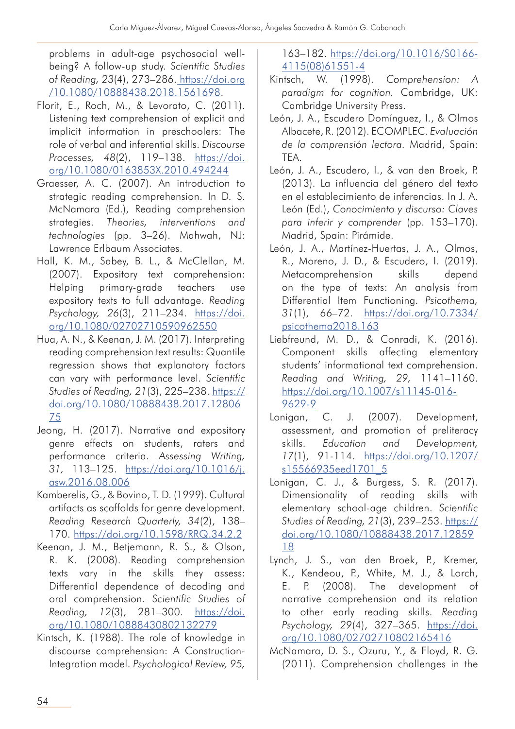problems in adult-age psychosocial wellbeing? A follow-up study. *Scientific Studies of Reading, 23*(4), 273–286. [https://doi.org](https://doi.org/10.1080/10888438.2018.1561698) [/10.1080/10888438.2018.1561698.](https://doi.org/10.1080/10888438.2018.1561698)

- Florit, E., Roch, M., & Levorato, C. (2011). Listening text comprehension of explicit and implicit information in preschoolers: The role of verbal and inferential skills. *Discourse Processes, 48*(2), 119–138. [https://doi.](https://doi.org/10.1080/0163853X.2010.494244) [org/10.1080/0163853X.2010.494244](https://doi.org/10.1080/0163853X.2010.494244)
- Graesser, A. C. (2007). An introduction to strategic reading comprehension. In D. S. McNamara (Ed.), Reading comprehension strategies. *Theories, interventions and technologies* (pp. 3–26). Mahwah, NJ: Lawrence Erlbaum Associates.
- Hall, K. M., Sabey, B. L., & McClellan, M. (2007). Expository text comprehension: Helping primary-grade teachers use expository texts to full advantage. *Reading Psychology, 26*(3), 211–234. [https://doi.](https://doi.org/10.1080/02702710590962550) [org/10.1080/02702710590962550](https://doi.org/10.1080/02702710590962550)
- Hua, A. N., & Keenan, J. M. (2017). Interpreting reading comprehension text results: Quantile regression shows that explanatory factors can vary with performance level. *Scientific Studies of Reading, 21*(3), 225–238. [https://](https://doi.org/10.1080/10888438.2017.1280675) [doi.org/10.1080/10888438.2017.12806](https://doi.org/10.1080/10888438.2017.1280675) [75](https://doi.org/10.1080/10888438.2017.1280675)
- Jeong, H. (2017). Narrative and expository genre effects on students, raters and performance criteria. *Assessing Writing, 31,* 113–125. [https://doi.org/10.1016/j.](https://doi.org/10.1016/j.asw.2016.08.006) [asw.2016.08.006](https://doi.org/10.1016/j.asw.2016.08.006)
- Kamberelis, G., & Bovino, T. D. (1999). Cultural artifacts as scaffolds for genre development. *Reading Research Quarterly, 34*(2), 138– 170.<https://doi.org/10.1598/RRQ.34.2.2>
- Keenan, J. M., Betjemann, R. S., & Olson, R. K. (2008). Reading comprehension texts vary in the skills they assess: Differential dependence of decoding and oral comprehension. *Scientific Studies of Reading, 12*(3), 281–300. [https://doi.](https://doi.org/10.1080/10888430802132279) [org/10.1080/10888430802132279](https://doi.org/10.1080/10888430802132279)
- Kintsch, K. (1988). The role of knowledge in discourse comprehension: A Construction-Integration model. *Psychological Review, 95,*

163–182. [https://doi.org/10.1016/S0166-](https://doi.org/10.1016/S0166-4115(08)61551-4) [4115\(08\)61551-4](https://doi.org/10.1016/S0166-4115(08)61551-4)

- Kintsch, W. (1998). *Comprehension: A paradigm for cognition.* Cambridge, UK: Cambridge University Press.
- León, J. A., Escudero Domínguez, I., & Olmos Albacete, R. (2012). ECOMPLEC. *Evaluación de la comprensión lectora.* Madrid, Spain: TEA.
- León, J. A., Escudero, I., & van den Broek, P. (2013). La influencia del género del texto en el establecimiento de inferencias. In J. A. León (Ed.), *Conocimiento y discurso: Claves para inferir y comprender* (pp. 153–170). Madrid, Spain: Pirámide.
- León, J. A., Martínez-Huertas, J. A., Olmos, R., Moreno, J. D., & Escudero, I. (2019). Metacomprehension skills depend on the type of texts: An analysis from Differential Item Functioning. *Psicothema, 31*(1), 66–72. [https://doi.org/10.7334/](https://doi.org/10.7334/psicothema2018.163) [psicothema2018.163](https://doi.org/10.7334/psicothema2018.163)
- Liebfreund, M. D., & Conradi, K. (2016). Component skills affecting elementary students' informational text comprehension. *Reading and Writing, 29,* 1141–1160. [https://doi.org/10.1007/s11145-016-](https://doi.org/10.1007/s11145-016-9629-9) [9629-9](https://doi.org/10.1007/s11145-016-9629-9)
- Lonigan, C. J. (2007). Development, assessment, and promotion of preliteracy skills. *Education and Development, 17*(1), 91-114. [https://doi.org/10.1207/](https://doi.org/10.1207/s15566935eed1701_5) [s15566935eed1701\\_5](https://doi.org/10.1207/s15566935eed1701_5)
- Lonigan, C. J., & Burgess, S. R. (2017). Dimensionality of reading skills with elementary school-age children. *Scientific Studies of Reading, 21*(3), 239–253. [https://](https://doi.org/10.1080/10888438.2017.1285918) [doi.org/10.1080/10888438.2017.12859](https://doi.org/10.1080/10888438.2017.1285918) [18](https://doi.org/10.1080/10888438.2017.1285918)
- Lynch, J. S., van den Broek, P., Kremer, K., Kendeou, P., White, M. J., & Lorch, E. P. (2008). The development of narrative comprehension and its relation to other early reading skills. *Reading Psychology, 29*(4), 327–365. [https://doi.](https://doi.org/10.1080/02702710802165416) [org/10.1080/02702710802165416](https://doi.org/10.1080/02702710802165416)
- McNamara, D. S., Ozuru, Y., & Floyd, R. G. (2011). Comprehension challenges in the